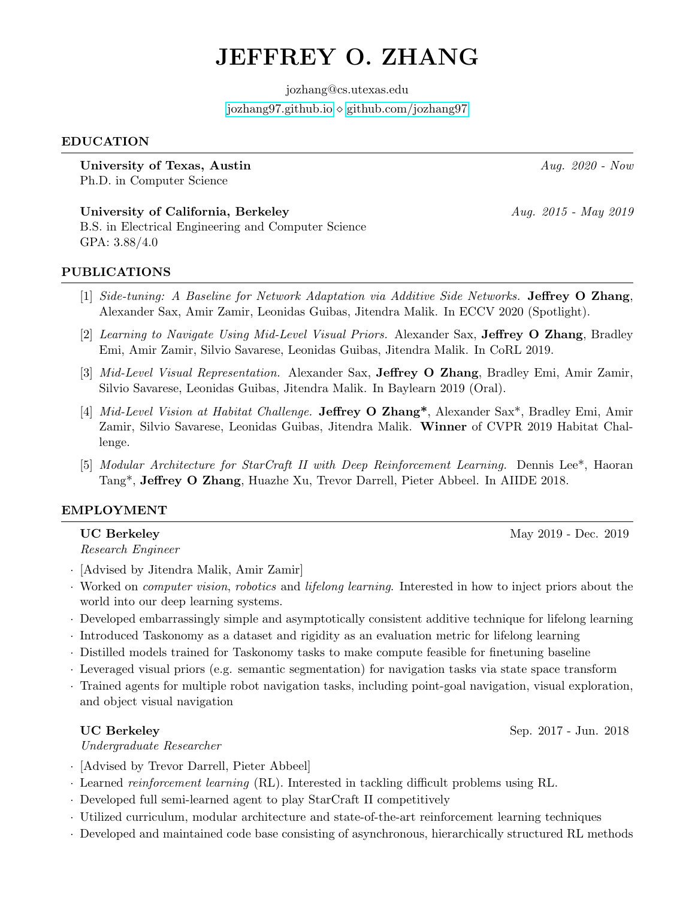# JEFFREY O. ZHANG

jozhang@cs.utexas.edu <jozhang97.github.io> [github.com/jozhang97](http://github.com/jozhang97)

### EDUCATION

University of Texas, Austin Aug. 2020 - Now Aug. 2020 - Now Ph.D. in Computer Science

University of California, Berkeley  $Auq. 2015 - May 2019$ B.S. in Electrical Engineering and Computer Science GPA: 3.88/4.0

### PUBLICATIONS

- [1] Side-tuning: A Baseline for Network Adaptation via Additive Side Networks. Jeffrey O Zhang, Alexander Sax, Amir Zamir, Leonidas Guibas, Jitendra Malik. In ECCV 2020 (Spotlight).
- [2] Learning to Navigate Using Mid-Level Visual Priors. Alexander Sax, Jeffrey O Zhang, Bradley Emi, Amir Zamir, Silvio Savarese, Leonidas Guibas, Jitendra Malik. In CoRL 2019.
- [3] Mid-Level Visual Representation. Alexander Sax, Jeffrey O Zhang, Bradley Emi, Amir Zamir, Silvio Savarese, Leonidas Guibas, Jitendra Malik. In Baylearn 2019 (Oral).
- [4] Mid-Level Vision at Habitat Challenge. Jeffrey O Zhang\*, Alexander Sax\*, Bradley Emi, Amir Zamir, Silvio Savarese, Leonidas Guibas, Jitendra Malik. Winner of CVPR 2019 Habitat Challenge.
- [5] Modular Architecture for StarCraft II with Deep Reinforcement Learning. Dennis Lee\*, Haoran Tang\*, Jeffrey O Zhang, Huazhe Xu, Trevor Darrell, Pieter Abbeel. In AIIDE 2018.

### EMPLOYMENT

### UC Berkeley May 2019 - Dec. 2019

Research Engineer

- · [Advised by Jitendra Malik, Amir Zamir]
- · Worked on computer vision, robotics and lifelong learning. Interested in how to inject priors about the world into our deep learning systems.
- · Developed embarrassingly simple and asymptotically consistent additive technique for lifelong learning
- · Introduced Taskonomy as a dataset and rigidity as an evaluation metric for lifelong learning
- · Distilled models trained for Taskonomy tasks to make compute feasible for finetuning baseline
- · Leveraged visual priors (e.g. semantic segmentation) for navigation tasks via state space transform
- · Trained agents for multiple robot navigation tasks, including point-goal navigation, visual exploration, and object visual navigation

UC Berkeley Sep. 2017 - Jun. 2018

Undergraduate Researcher

- · [Advised by Trevor Darrell, Pieter Abbeel]
- · Learned reinforcement learning (RL). Interested in tackling difficult problems using RL.
- · Developed full semi-learned agent to play StarCraft II competitively
- · Utilized curriculum, modular architecture and state-of-the-art reinforcement learning techniques
- · Developed and maintained code base consisting of asynchronous, hierarchically structured RL methods